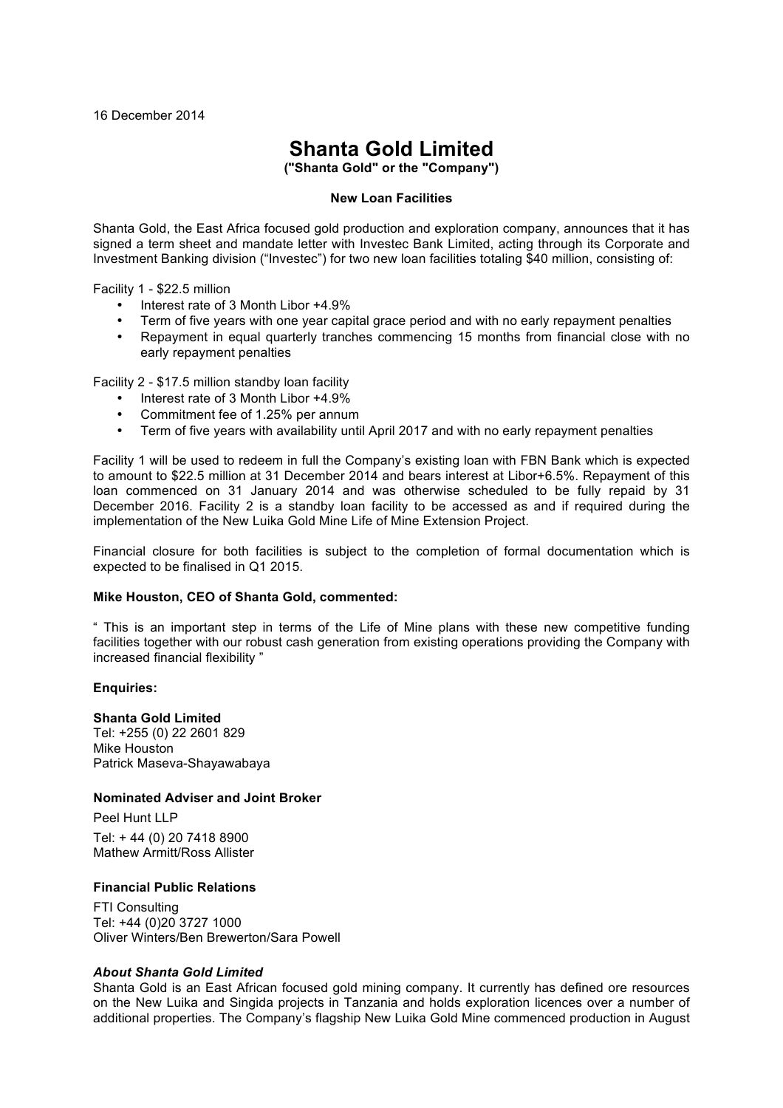# **Shanta Gold Limited**

**("Shanta Gold" or the "Company")**

# **New Loan Facilities**

Shanta Gold, the East Africa focused gold production and exploration company, announces that it has signed a term sheet and mandate letter with Investec Bank Limited, acting through its Corporate and Investment Banking division ("Investec") for two new loan facilities totaling \$40 million, consisting of:

Facility 1 - \$22.5 million

- Interest rate of 3 Month Libor +4.9%
- Term of five years with one year capital grace period and with no early repayment penalties
- Repayment in equal quarterly tranches commencing 15 months from financial close with no early repayment penalties

Facility 2 - \$17.5 million standby loan facility

- Interest rate of 3 Month Libor +4.9%
- Commitment fee of 1.25% per annum
- Term of five years with availability until April 2017 and with no early repayment penalties

Facility 1 will be used to redeem in full the Company's existing loan with FBN Bank which is expected to amount to \$22.5 million at 31 December 2014 and bears interest at Libor+6.5%. Repayment of this loan commenced on 31 January 2014 and was otherwise scheduled to be fully repaid by 31 December 2016. Facility 2 is a standby loan facility to be accessed as and if required during the implementation of the New Luika Gold Mine Life of Mine Extension Project.

Financial closure for both facilities is subject to the completion of formal documentation which is expected to be finalised in Q1 2015.

#### **Mike Houston, CEO of Shanta Gold, commented:**

" This is an important step in terms of the Life of Mine plans with these new competitive funding facilities together with our robust cash generation from existing operations providing the Company with increased financial flexibility "

#### **Enquiries:**

**Shanta Gold Limited** Tel: +255 (0) 22 2601 829 Mike Houston Patrick Maseva-Shayawabaya

# **Nominated Adviser and Joint Broker**

Peel Hunt LLP Tel: + 44 (0) 20 7418 8900 Mathew Armitt/Ross Allister

## **Financial Public Relations**

FTI Consulting Tel: +44 (0)20 3727 1000 Oliver Winters/Ben Brewerton/Sara Powell

# *About Shanta Gold Limited*

Shanta Gold is an East African focused gold mining company. It currently has defined ore resources on the New Luika and Singida projects in Tanzania and holds exploration licences over a number of additional properties. The Company's flagship New Luika Gold Mine commenced production in August